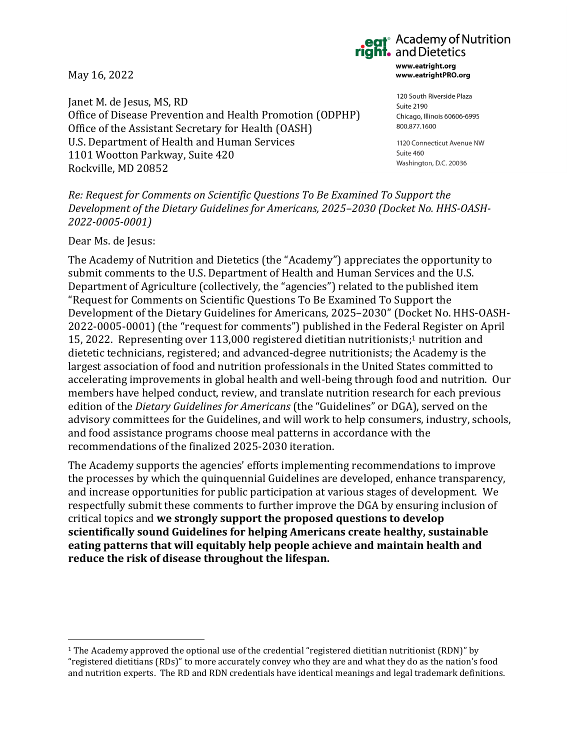May 16, 2022

Janet M. de Jesus, MS, RD Office of Disease Prevention and Health Promotion (ODPHP) Office of the Assistant Secretary for Health (OASH) U.S. Department of Health and Human Services 1101 Wootton Parkway, Suite 420 Rockville, MD 20852

# **•** Academy of Nutrition<br>• and Dietetics

www.eatright.org www.eatrightPRO.org

120 South Riverside Plaza Suite 2190 Chicago, Illinois 60606-6995 800.877.1600

1120 Connecticut Avenue NW Suite 460 Washington, D.C. 20036

*Re: Request for Comments on Scientific Questions To Be Examined To Support the Development of the Dietary Guidelines for Americans, 2025–2030 (Docket No. HHS-OASH-2022-0005-0001)*

Dear Ms. de Jesus:

The Academy of Nutrition and Dietetics (the "Academy") appreciates the opportunity to submit comments to the U.S. Department of Health and Human Services and the U.S. Department of Agriculture (collectively, the "agencies") related to the published item "Request for Comments on Scientific Questions To Be Examined To Support the Development of the Dietary Guidelines for Americans, 2025–2030" (Docket No. HHS-OASH-2022-0005-0001) (the "request for comments") published in the Federal Register on April 15, 2022. Representing over 113,000 registered dietitian nutritionists; <sup>1</sup> nutrition and dietetic technicians, registered; and advanced-degree nutritionists; the Academy is the largest association of food and nutrition professionals in the United States committed to accelerating improvements in global health and well-being through food and nutrition. Our members have helped conduct, review, and translate nutrition research for each previous edition of the *Dietary Guidelines for Americans* (the "Guidelines" or DGA), served on the advisory committees for the Guidelines, and will work to help consumers, industry, schools, and food assistance programs choose meal patterns in accordance with the recommendations of the finalized 2025-2030 iteration.

The Academy supports the agencies' efforts implementing recommendations to improve the processes by which the quinquennial Guidelines are developed, enhance transparency, and increase opportunities for public participation at various stages of development.We respectfully submit these comments to further improve the DGA by ensuring inclusion of critical topics and **we strongly support the proposed questions to develop scientifically sound Guidelines for helping Americans create healthy, sustainable eating patterns that will equitably help people achieve and maintain health and reduce the risk of disease throughout the lifespan.**

 $1$  The Academy approved the optional use of the credential "registered dietitian nutritionist (RDN)" by "registered dietitians (RDs)" to more accurately convey who they are and what they do as the nation's food and nutrition experts. The RD and RDN credentials have identical meanings and legal trademark definitions.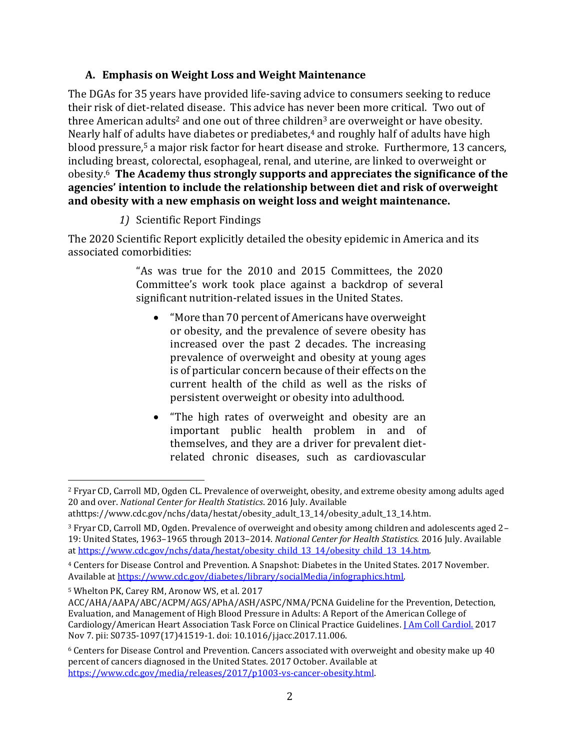#### **A. Emphasis on Weight Loss and Weight Maintenance**

The DGAs for 35 years have provided life-saving advice to consumers seeking to reduce their risk of diet-related disease. This advice has never been more critical. Two out of three American adults<sup>2</sup> and one out of three children<sup>3</sup> are overweight or have obesity. Nearly half of adults have diabetes or prediabetes,<sup>4</sup> and roughly half of adults have high blood pressure,<sup>5</sup> a major risk factor for heart disease and stroke. Furthermore, 13 cancers, including breast, colorectal, esophageal, renal, and uterine, are linked to overweight or obesity.<sup>6</sup> **The Academy thus strongly supports and appreciates the significance of the agencies' intention to include the relationship between diet and risk of overweight and obesity with a new emphasis on weight loss and weight maintenance.**

*1)* Scientific Report Findings

The 2020 Scientific Report explicitly detailed the obesity epidemic in America and its associated comorbidities:

> "As was true for the 2010 and 2015 Committees, the 2020 Committee's work took place against a backdrop of several significant nutrition-related issues in the United States.

- "More than 70 percent of Americans have overweight or obesity, and the prevalence of severe obesity has increased over the past 2 decades. The increasing prevalence of overweight and obesity at young ages is of particular concern because of their effects on the current health of the child as well as the risks of persistent overweight or obesity into adulthood.
- "The high rates of overweight and obesity are an important public health problem in and of themselves, and they are a driver for prevalent dietrelated chronic diseases, such as cardiovascular

<sup>2</sup> Fryar CD, Carroll MD, Ogden CL. Prevalence of overweight, obesity, and extreme obesity among adults aged 20 and over. *National Center for Health Statistics*. 2016 July. Available

athttps://www.cdc.gov/nchs/data/hestat/obesity\_adult\_13\_14/obesity\_adult\_13\_14.htm.

<sup>3</sup> Fryar CD, Carroll MD, Ogden. Prevalence of overweight and obesity among children and adolescents aged 2– 19: United States, 1963–1965 through 2013–2014. *National Center for Health Statistics.* 2016 July. Available a[t https://www.cdc.gov/nchs/data/hestat/obesity\\_child\\_13\\_14/obesity\\_child\\_13\\_14.htm.](https://www.cdc.gov/nchs/data/hestat/obesity_child_13_14/obesity_child_13_14.htm)

<sup>4</sup> Centers for Disease Control and Prevention. A Snapshot: Diabetes in the United States. 2017 November. Available a[t https://www.cdc.gov/diabetes/library/socialMedia/infographics.html.](https://www.cdc.gov/diabetes/library/socialMedia/infographics.html)

<sup>5</sup> Whelton PK, Carey RM, Aronow WS, et al. 2017

ACC/AHA/AAPA/ABC/ACPM/AGS/APhA/ASH/ASPC/NMA/PCNA Guideline for the Prevention, Detection, Evaluation, and Management of High Blood Pressure in Adults: A Report of the American College of Cardiology/American Heart Association Task Force on Clinical Practice Guidelines. [J Am Coll Cardiol.](https://www.ncbi.nlm.nih.gov/pubmed/29146535) 2017 Nov 7. pii: S0735-1097(17)41519-1. doi: 10.1016/j.jacc.2017.11.006.

<sup>6</sup> Centers for Disease Control and Prevention. Cancers associated with overweight and obesity make up 40 percent of cancers diagnosed in the United States. 2017 October. Available at [https://www.cdc.gov/media/releases/2017/p1003-vs-cancer-obesity.html.](https://www.cdc.gov/media/releases/2017/p1003-vs-cancer-obesity.html)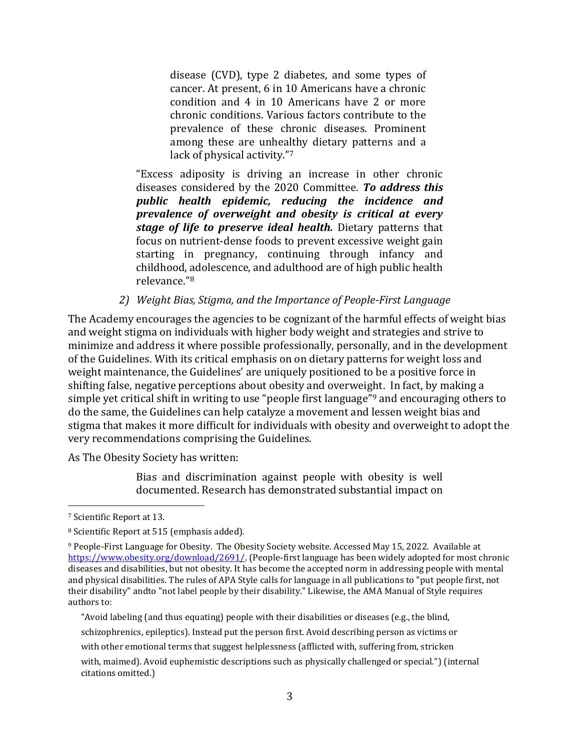disease (CVD), type 2 diabetes, and some types of cancer. At present, 6 in 10 Americans have a chronic condition and 4 in 10 Americans have 2 or more chronic conditions. Various factors contribute to the prevalence of these chronic diseases. Prominent among these are unhealthy dietary patterns and a lack of physical activity."<sup>7</sup>

"Excess adiposity is driving an increase in other chronic diseases considered by the 2020 Committee. *To address this public health epidemic, reducing the incidence and prevalence of overweight and obesity is critical at every stage of life to preserve ideal health.* Dietary patterns that focus on nutrient-dense foods to prevent excessive weight gain starting in pregnancy, continuing through infancy and childhood, adolescence, and adulthood are of high public health relevance."<sup>8</sup>

*2) Weight Bias, Stigma, and the Importance of People-First Language*

The Academy encourages the agencies to be cognizant of the harmful effects of weight bias and weight stigma on individuals with higher body weight and strategies and strive to minimize and address it where possible professionally, personally, and in the development of the Guidelines. With its critical emphasis on on dietary patterns for weight loss and weight maintenance, the Guidelines' are uniquely positioned to be a positive force in shifting false, negative perceptions about obesity and overweight. In fact, by making a simple yet critical shift in writing to use "people first language" <sup>9</sup> and encouraging others to do the same, the Guidelines can help catalyze a movement and lessen weight bias and stigma that makes it more difficult for individuals with obesity and overweight to adopt the very recommendations comprising the Guidelines*.*

As The Obesity Society has written:

Bias and discrimination against people with obesity is well documented. Research has demonstrated substantial impact on

<sup>7</sup> Scientific Report at 13.

<sup>8</sup> Scientific Report at 515 (emphasis added).

<sup>9</sup> People‐First Language for Obesity. The Obesity Society website. Accessed May 15, 2022. Available at [https://www.obesity.org/download/2691/.](https://www.obesity.org/download/2691/) (People‐first language has been widely adopted for most chronic diseases and disabilities, but not obesity. It has become the accepted norm in addressing people with mental and physical disabilities. The rules of APA Style calls for language in all publications to "put people first, not their disability" andto "not label people by their disability." Likewise, the AMA Manual of Style requires authors to:

<sup>&</sup>quot;Avoid labeling (and thus equating) people with their disabilities or diseases (e.g., the blind,

schizophrenics, epileptics). Instead put the person first. Avoid describing person as victims or

with other emotional terms that suggest helplessness (afflicted with, suffering from, stricken

with, maimed). Avoid euphemistic descriptions such as physically challenged or special.") (internal citations omitted.)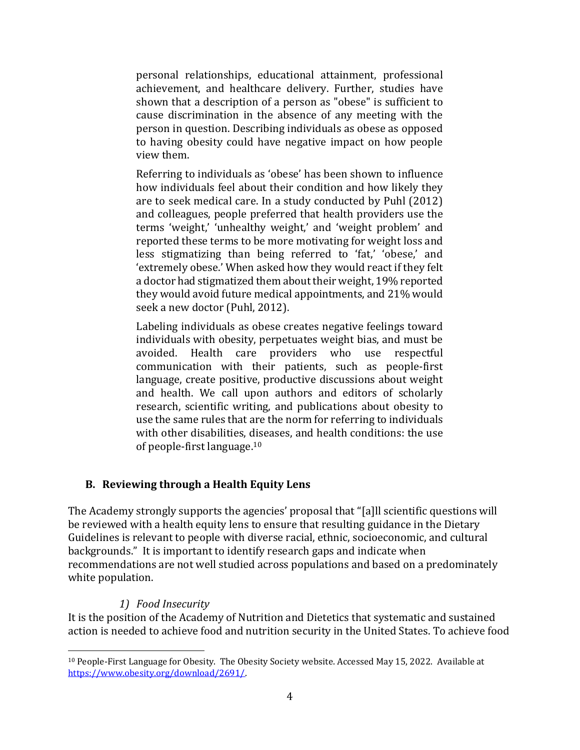personal relationships, educational attainment, professional achievement, and healthcare delivery. Further, studies have shown that a description of a person as "obese" is sufficient to cause discrimination in the absence of any meeting with the person in question. Describing individuals as obese as opposed to having obesity could have negative impact on how people view them.

Referring to individuals as 'obese' has been shown to influence how individuals feel about their condition and how likely they are to seek medical care. In a study conducted by Puhl (2012) and colleagues, people preferred that health providers use the terms 'weight,' 'unhealthy weight,' and 'weight problem' and reported these terms to be more motivating for weight loss and less stigmatizing than being referred to 'fat,' 'obese,' and 'extremely obese.' When asked how they would react if they felt a doctor had stigmatized them about their weight, 19% reported they would avoid future medical appointments, and 21% would seek a new doctor (Puhl, 2012).

Labeling individuals as obese creates negative feelings toward individuals with obesity, perpetuates weight bias, and must be avoided. Health care providers who use respectful communication with their patients, such as people‐first language, create positive, productive discussions about weight and health. We call upon authors and editors of scholarly research, scientific writing, and publications about obesity to use the same rules that are the norm for referring to individuals with other disabilities, diseases, and health conditions: the use of people‐first language.<sup>10</sup>

### **B. Reviewing through a Health Equity Lens**

The Academy strongly supports the agencies' proposal that "[a]ll scientific questions will be reviewed with a health equity lens to ensure that resulting guidance in the Dietary Guidelines is relevant to people with diverse racial, ethnic, socioeconomic, and cultural backgrounds." It is important to identify research gaps and indicate when recommendations are not well studied across populations and based on a predominately white population.

### *1) Food Insecurity*

It is the position of the Academy of Nutrition and Dietetics that systematic and sustained action is needed to achieve food and nutrition security in the United States. To achieve food

<sup>10</sup> People-First Language for Obesity. The Obesity Society website. Accessed May 15, 2022. Available at [https://www.obesity.org/download/2691/.](https://www.obesity.org/download/2691/)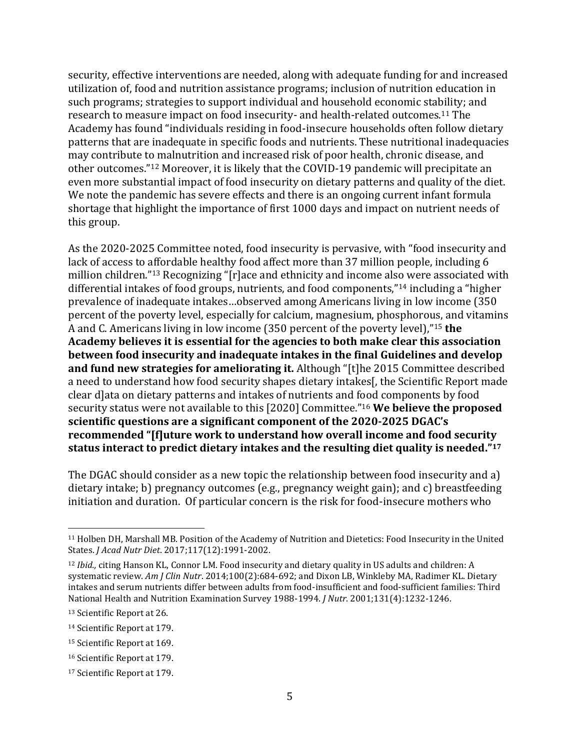security, effective interventions are needed, along with adequate funding for and increased utilization of, food and nutrition assistance programs; inclusion of nutrition education in such programs; strategies to support individual and household economic stability; and research to measure impact on food insecurity- and health-related outcomes.<sup>11</sup> The Academy has found "individuals residing in food-insecure households often follow dietary patterns that are inadequate in specific foods and nutrients. These nutritional inadequacies may contribute to malnutrition and increased risk of poor health, chronic disease, and other outcomes."<sup>12</sup> Moreover, it is likely that the COVID-19 pandemic will precipitate an even more substantial impact of food insecurity on dietary patterns and quality of the diet. We note the pandemic has severe effects and there is an ongoing current infant formula shortage that highlight the importance of first 1000 days and impact on nutrient needs of this group.

As the 2020-2025 Committee noted, food insecurity is pervasive, with "food insecurity and lack of access to affordable healthy food affect more than 37 million people, including 6 million children."<sup>13</sup> Recognizing "[r]ace and ethnicity and income also were associated with differential intakes of food groups, nutrients, and food components,"<sup>14</sup> including a "higher prevalence of inadequate intakes…observed among Americans living in low income (350 percent of the poverty level, especially for calcium, magnesium, phosphorous, and vitamins A and C. Americans living in low income (350 percent of the poverty level),"<sup>15</sup> **the Academy believes it is essential for the agencies to both make clear this association between food insecurity and inadequate intakes in the final Guidelines and develop and fund new strategies for ameliorating it.** Although "[t]he 2015 Committee described a need to understand how food security shapes dietary intakes[, the Scientific Report made clear d]ata on dietary patterns and intakes of nutrients and food components by food security status were not available to this [2020] Committee."<sup>16</sup> **We believe the proposed scientific questions are a significant component of the 2020-2025 DGAC's recommended "[f]uture work to understand how overall income and food security status interact to predict dietary intakes and the resulting diet quality is needed." 17**

The DGAC should consider as a new topic the relationship between food insecurity and a) dietary intake; b) pregnancy outcomes (e.g., pregnancy weight gain); and c) breastfeeding initiation and duration. Of particular concern is the risk for food-insecure mothers who

<sup>11</sup> Holben DH, Marshall MB. Position of the Academy of Nutrition and Dietetics: Food Insecurity in the United States. *J Acad Nutr Diet*. 2017;117(12):1991-2002.

<sup>12</sup> *Ibid.,* citing Hanson KL, Connor LM. Food insecurity and dietary quality in US adults and children: A systematic review. *Am J Clin Nutr*. 2014;100(2):684-692; and Dixon LB, Winkleby MA, Radimer KL. Dietary intakes and serum nutrients differ between adults from food-insufficient and food-sufficient families: Third National Health and Nutrition Examination Survey 1988-1994. *J Nutr*. 2001;131(4):1232-1246.

<sup>13</sup> Scientific Report at 26.

<sup>14</sup> Scientific Report at 179.

<sup>15</sup> Scientific Report at 169.

<sup>16</sup> Scientific Report at 179.

<sup>17</sup> Scientific Report at 179.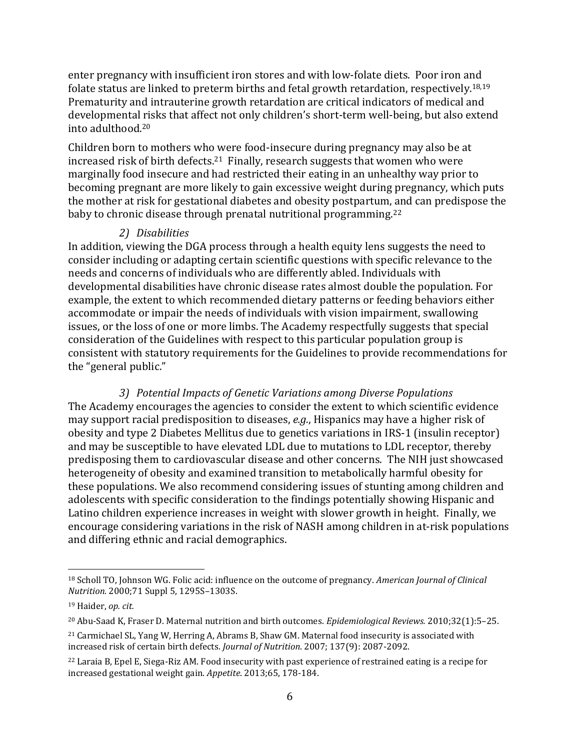enter pregnancy with insufficient iron stores and with low-folate diets. Poor iron and folate status are linked to preterm births and fetal growth retardation, respectively.18,19 Prematurity and intrauterine growth retardation are critical indicators of medical and developmental risks that affect not only children's short-term well-being, but also extend into adulthood.<sup>20</sup>

Children born to mothers who were food-insecure during pregnancy may also be at increased risk of birth defects.<sup>21</sup> Finally, research suggests that women who were marginally food insecure and had restricted their eating in an unhealthy way prior to becoming pregnant are more likely to gain excessive weight during pregnancy, which puts the mother at risk for gestational diabetes and obesity postpartum, and can predispose the baby to chronic disease through prenatal nutritional programming.<sup>22</sup>

#### *2) Disabilities*

In addition, viewing the DGA process through a health equity lens suggests the need to consider including or adapting certain scientific questions with specific relevance to the needs and concerns of individuals who are differently abled. Individuals with developmental disabilities have chronic disease rates almost double the population. For example, the extent to which recommended dietary patterns or feeding behaviors either accommodate or impair the needs of individuals with vision impairment, swallowing issues, or the loss of one or more limbs. The Academy respectfully suggests that special consideration of the Guidelines with respect to this particular population group is consistent with statutory requirements for the Guidelines to provide recommendations for the "general public."

*3) Potential Impacts of Genetic Variations among Diverse Populations* The Academy encourages the agencies to consider the extent to which scientific evidence may support racial predisposition to diseases, *e.g.*, Hispanics may have a higher risk of obesity and type 2 Diabetes Mellitus due to genetics variations in IRS-1 (insulin receptor) and may be susceptible to have elevated LDL due to mutations to LDL receptor, thereby predisposing them to cardiovascular disease and other concerns. The NIH just showcased heterogeneity of obesity and examined transition to metabolically harmful obesity for these populations. We also recommend considering issues of stunting among children and adolescents with specific consideration to the findings potentially showing Hispanic and Latino children experience increases in weight with slower growth in height. Finally, we encourage considering variations in the risk of NASH among children in at-risk populations and differing ethnic and racial demographics.

<sup>18</sup> Scholl TO, Johnson WG. Folic acid: influence on the outcome of pregnancy. *American Journal of Clinical Nutrition.* 2000;71 Suppl 5, 1295S–1303S.

<sup>19</sup> Haider, *op. cit.*

<sup>20</sup> Abu-Saad K, Fraser D. Maternal nutrition and birth outcomes. *Epidemiological Reviews.* 2010;32(1):5–25.

<sup>21</sup> Carmichael SL, Yang W, Herring A, Abrams B, Shaw GM. Maternal food insecurity is associated with increased risk of certain birth defects. *Journal of Nutrition*. 2007; 137(9): 2087-2092.

<sup>22</sup> Laraia B, Epel E, Siega-Riz AM. Food insecurity with past experience of restrained eating is a recipe for increased gestational weight gain. *Appetite*. 2013;65, 178-184.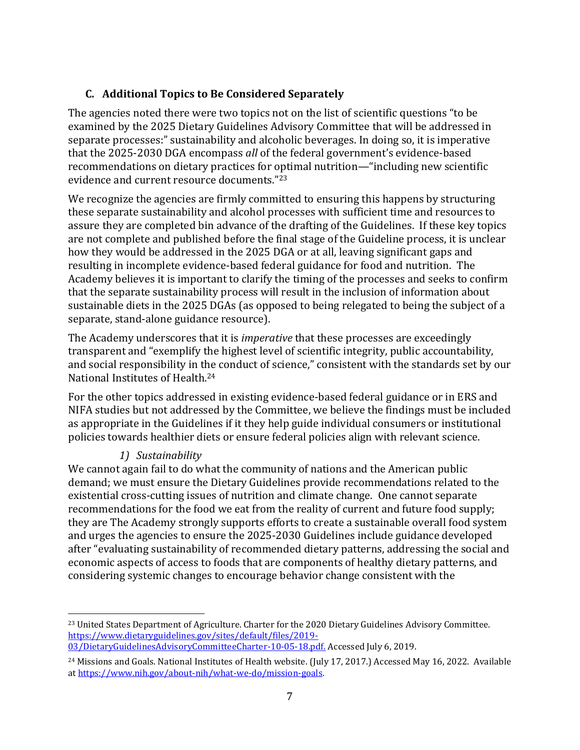# **C. Additional Topics to Be Considered Separately**

The agencies noted there were two topics not on the list of scientific questions "to be examined by the 2025 Dietary Guidelines Advisory Committee that will be addressed in separate processes:" sustainability and alcoholic beverages. In doing so, it is imperative that the 2025-2030 DGA encompass *all* of the federal government's evidence-based recommendations on dietary practices for optimal nutrition—"including new scientific evidence and current resource documents."<sup>23</sup>

We recognize the agencies are firmly committed to ensuring this happens by structuring these separate sustainability and alcohol processes with sufficient time and resources to assure they are completed bin advance of the drafting of the Guidelines. If these key topics are not complete and published before the final stage of the Guideline process, it is unclear how they would be addressed in the 2025 DGA or at all, leaving significant gaps and resulting in incomplete evidence-based federal guidance for food and nutrition. The Academy believes it is important to clarify the timing of the processes and seeks to confirm that the separate sustainability process will result in the inclusion of information about sustainable diets in the 2025 DGAs (as opposed to being relegated to being the subject of a separate, stand-alone guidance resource).

The Academy underscores that it is *imperative* that these processes are exceedingly transparent and "exemplify the highest level of scientific integrity, public accountability, and social responsibility in the conduct of science," consistent with the standards set by our National Institutes of Health.<sup>24</sup>

For the other topics addressed in existing evidence-based federal guidance or in ERS and NIFA studies but not addressed by the Committee, we believe the findings must be included as appropriate in the Guidelines if it they help guide individual consumers or institutional policies towards healthier diets or ensure federal policies align with relevant science.

### *1) Sustainability*

We cannot again fail to do what the community of nations and the American public demand; we must ensure the Dietary Guidelines provide recommendations related to the existential cross-cutting issues of nutrition and climate change. One cannot separate recommendations for the food we eat from the reality of current and future food supply; they are The Academy strongly supports efforts to create a sustainable overall food system and urges the agencies to ensure the 2025-2030 Guidelines include guidance developed after "evaluating sustainability of recommended dietary patterns, addressing the social and economic aspects of access to foods that are components of healthy dietary patterns, and considering systemic changes to encourage behavior change consistent with the

<sup>&</sup>lt;sup>23</sup> United States Department of Agriculture. Charter for the 2020 Dietary Guidelines Advisory Committee. [https://www.dietaryguidelines.gov/sites/default/files/2019-](https://www.dietaryguidelines.gov/sites/default/files/2019-03/DietaryGuidelinesAdvisoryCommitteeCharter-10-05-18.pdf) [03/DietaryGuidelinesAdvisoryCommitteeCharter-10-05-18.pdf.](https://www.dietaryguidelines.gov/sites/default/files/2019-03/DietaryGuidelinesAdvisoryCommitteeCharter-10-05-18.pdf) Accessed July 6, 2019.

<sup>&</sup>lt;sup>24</sup> Missions and Goals. National Institutes of Health website. (July 17, 2017.) Accessed May 16, 2022. Available a[t https://www.nih.gov/about-nih/what-we-do/mission-goals.](https://www.nih.gov/about-nih/what-we-do/mission-goals)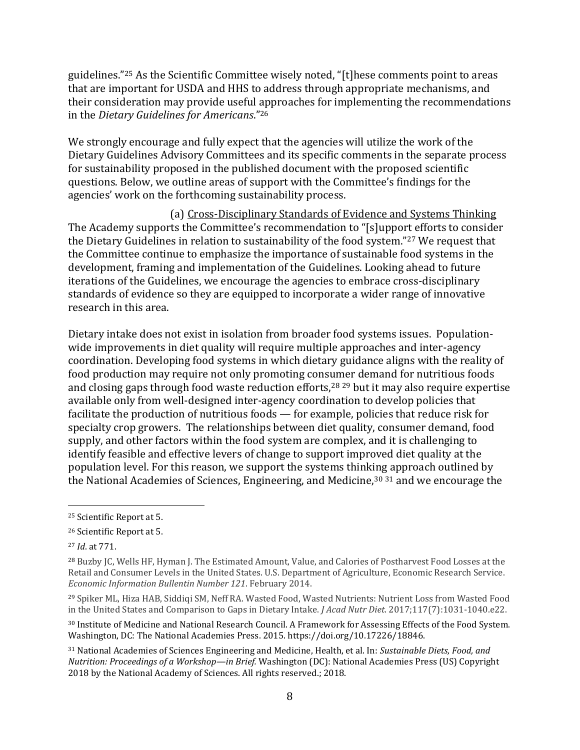guidelines."<sup>25</sup> As the Scientific Committee wisely noted, "[t]hese comments point to areas that are important for USDA and HHS to address through appropriate mechanisms, and their consideration may provide useful approaches for implementing the recommendations in the *Dietary Guidelines for Americans*."<sup>26</sup>

We strongly encourage and fully expect that the agencies will utilize the work of the Dietary Guidelines Advisory Committees and its specific comments in the separate process for sustainability proposed in the published document with the proposed scientific questions. Below, we outline areas of support with the Committee's findings for the agencies' work on the forthcoming sustainability process.

(a) Cross-Disciplinary Standards of Evidence and Systems Thinking The Academy supports the Committee's recommendation to "[s]upport efforts to consider the Dietary Guidelines in relation to sustainability of the food system."<sup>27</sup> We request that the Committee continue to emphasize the importance of sustainable food systems in the development, framing and implementation of the Guidelines. Looking ahead to future iterations of the Guidelines, we encourage the agencies to embrace cross-disciplinary standards of evidence so they are equipped to incorporate a wider range of innovative research in this area.

Dietary intake does not exist in isolation from broader food systems issues. Populationwide improvements in diet quality will require multiple approaches and inter-agency coordination. Developing food systems in which dietary guidance aligns with the reality of food production may require not only promoting consumer demand for nutritious foods and closing gaps through food waste reduction efforts,<sup>28 29</sup> but it may also require expertise available only from well-designed inter-agency coordination to develop policies that facilitate the production of nutritious foods — for example, policies that reduce risk for specialty crop growers. The relationships between diet quality, consumer demand, food supply, and other factors within the food system are complex, and it is challenging to identify feasible and effective levers of change to support improved diet quality at the population level. For this reason, we support the systems thinking approach outlined by the National Academies of Sciences, Engineering, and Medicine,<sup>30 31</sup> and we encourage the

<sup>25</sup> Scientific Report at 5.

<sup>26</sup> Scientific Report at 5.

<sup>27</sup> *Id*. at 771.

<sup>28</sup> Buzby JC, Wells HF, Hyman J. The Estimated Amount, Value, and Calories of Postharvest Food Losses at the Retail and Consumer Levels in the United States. U.S. Department of Agriculture, Economic Research Service. *Economic Information Bullentin Number 121*. February 2014.

<sup>29</sup> Spiker ML, Hiza HAB, Siddiqi SM, Neff RA. Wasted Food, Wasted Nutrients: Nutrient Loss from Wasted Food in the United States and Comparison to Gaps in Dietary Intake. *J Acad Nutr Diet*. 2017;117(7):1031-1040.e22.

<sup>30</sup> Institute of Medicine and National Research Council. A Framework for Assessing Effects of the Food System. Washington, DC: The National Academies Press. 2015. https://doi.org/10.17226/18846.

<sup>31</sup> National Academies of Sciences Engineering and Medicine, Health, et al. In: *Sustainable Diets, Food, and Nutrition: Proceedings of a Workshop—in Brief.* Washington (DC): National Academies Press (US) Copyright 2018 by the National Academy of Sciences. All rights reserved.; 2018.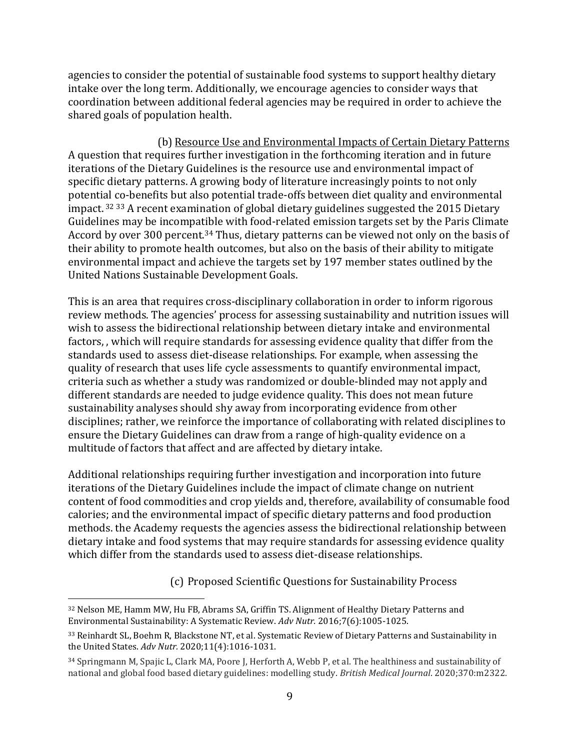agencies to consider the potential of sustainable food systems to support healthy dietary intake over the long term. Additionally, we encourage agencies to consider ways that coordination between additional federal agencies may be required in order to achieve the shared goals of population health.

(b) Resource Use and Environmental Impacts of Certain Dietary Patterns A question that requires further investigation in the forthcoming iteration and in future iterations of the Dietary Guidelines is the resource use and environmental impact of specific dietary patterns. A growing body of literature increasingly points to not only potential co-benefits but also potential trade-offs between diet quality and environmental impact. <sup>32</sup> <sup>33</sup> A recent examination of global dietary guidelines suggested the 2015 Dietary Guidelines may be incompatible with food-related emission targets set by the Paris Climate Accord by over 300 percent.<sup>34</sup> Thus, dietary patterns can be viewed not only on the basis of their ability to promote health outcomes, but also on the basis of their ability to mitigate environmental impact and achieve the targets set by 197 member states outlined by the United Nations Sustainable Development Goals.

This is an area that requires cross-disciplinary collaboration in order to inform rigorous review methods. The agencies' process for assessing sustainability and nutrition issues will wish to assess the bidirectional relationship between dietary intake and environmental factors, , which will require standards for assessing evidence quality that differ from the standards used to assess diet-disease relationships. For example, when assessing the quality of research that uses life cycle assessments to quantify environmental impact, criteria such as whether a study was randomized or double-blinded may not apply and different standards are needed to judge evidence quality. This does not mean future sustainability analyses should shy away from incorporating evidence from other disciplines; rather, we reinforce the importance of collaborating with related disciplines to ensure the Dietary Guidelines can draw from a range of high-quality evidence on a multitude of factors that affect and are affected by dietary intake.

Additional relationships requiring further investigation and incorporation into future iterations of the Dietary Guidelines include the impact of climate change on nutrient content of food commodities and crop yields and, therefore, availability of consumable food calories; and the environmental impact of specific dietary patterns and food production methods. the Academy requests the agencies assess the bidirectional relationship between dietary intake and food systems that may require standards for assessing evidence quality which differ from the standards used to assess diet-disease relationships.

(c) Proposed Scientific Questions for Sustainability Process

<sup>32</sup> Nelson ME, Hamm MW, Hu FB, Abrams SA, Griffin TS. Alignment of Healthy Dietary Patterns and Environmental Sustainability: A Systematic Review. *Adv Nutr.* 2016;7(6):1005-1025.

<sup>33</sup> Reinhardt SL, Boehm R, Blackstone NT, et al. Systematic Review of Dietary Patterns and Sustainability in the United States. *Adv Nutr.* 2020;11(4):1016-1031.

<sup>34</sup> Springmann M, Spajic L, Clark MA, Poore J, Herforth A, Webb P, et al. The healthiness and sustainability of national and global food based dietary guidelines: modelling study. *British Medical Journal*. 2020;370:m2322.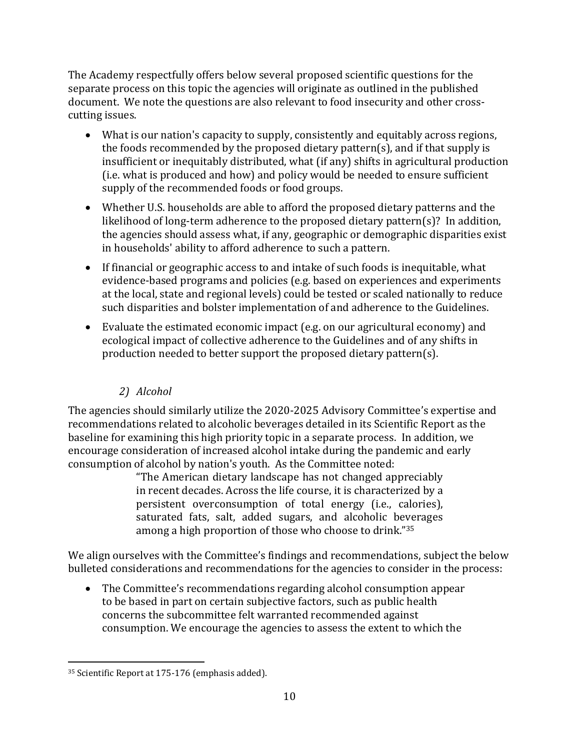The Academy respectfully offers below several proposed scientific questions for the separate process on this topic the agencies will originate as outlined in the published document. We note the questions are also relevant to food insecurity and other crosscutting issues.

- What is our nation's capacity to supply, consistently and equitably across regions, the foods recommended by the proposed dietary pattern(s), and if that supply is insufficient or inequitably distributed, what (if any) shifts in agricultural production (i.e. what is produced and how) and policy would be needed to ensure sufficient supply of the recommended foods or food groups.
- Whether U.S. households are able to afford the proposed dietary patterns and the likelihood of long-term adherence to the proposed dietary pattern(s)? In addition, the agencies should assess what, if any, geographic or demographic disparities exist in households' ability to afford adherence to such a pattern.
- If financial or geographic access to and intake of such foods is inequitable, what evidence-based programs and policies (e.g. based on experiences and experiments at the local, state and regional levels) could be tested or scaled nationally to reduce such disparities and bolster implementation of and adherence to the Guidelines.
- Evaluate the estimated economic impact (e.g. on our agricultural economy) and ecological impact of collective adherence to the Guidelines and of any shifts in production needed to better support the proposed dietary pattern(s).

# *2) Alcohol*

The agencies should similarly utilize the 2020-2025 Advisory Committee's expertise and recommendations related to alcoholic beverages detailed in its Scientific Report as the baseline for examining this high priority topic in a separate process. In addition, we encourage consideration of increased alcohol intake during the pandemic and early consumption of alcohol by nation's youth. As the Committee noted:

"The American dietary landscape has not changed appreciably in recent decades. Across the life course, it is characterized by a persistent overconsumption of total energy (i.e., calories), saturated fats, salt, added sugars, and alcoholic beverages among a high proportion of those who choose to drink."<sup>35</sup>

We align ourselves with the Committee's findings and recommendations, subject the below bulleted considerations and recommendations for the agencies to consider in the process:

• The Committee's recommendations regarding alcohol consumption appear to be based in part on certain subjective factors, such as public health concerns the subcommittee felt warranted recommended against consumption. We encourage the agencies to assess the extent to which the

<sup>35</sup> Scientific Report at 175-176 (emphasis added).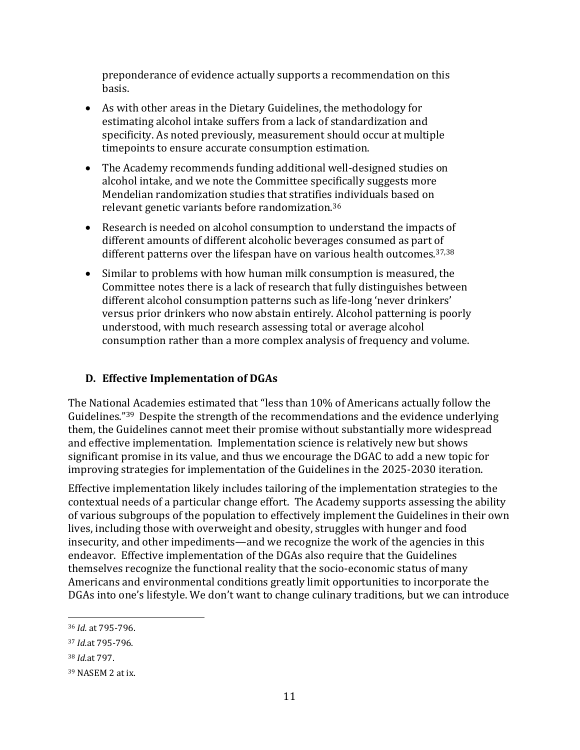preponderance of evidence actually supports a recommendation on this basis.

- As with other areas in the Dietary Guidelines, the methodology for estimating alcohol intake suffers from a lack of standardization and specificity. As noted previously, measurement should occur at multiple timepoints to ensure accurate consumption estimation.
- The Academy recommends funding additional well-designed studies on alcohol intake, and we note the Committee specifically suggests more Mendelian randomization studies that stratifies individuals based on relevant genetic variants before randomization.<sup>36</sup>
- Research is needed on alcohol consumption to understand the impacts of different amounts of different alcoholic beverages consumed as part of different patterns over the lifespan have on various health outcomes. 37,38
- Similar to problems with how human milk consumption is measured, the Committee notes there is a lack of research that fully distinguishes between different alcohol consumption patterns such as life-long 'never drinkers' versus prior drinkers who now abstain entirely. Alcohol patterning is poorly understood, with much research assessing total or average alcohol consumption rather than a more complex analysis of frequency and volume.

# **D. Effective Implementation of DGAs**

The National Academies estimated that "less than 10% of Americans actually follow the Guidelines."39 Despite the strength of the recommendations and the evidence underlying them, the Guidelines cannot meet their promise without substantially more widespread and effective implementation. Implementation science is relatively new but shows significant promise in its value, and thus we encourage the DGAC to add a new topic for improving strategies for implementation of the Guidelines in the 2025-2030 iteration.

Effective implementation likely includes tailoring of the implementation strategies to the contextual needs of a particular change effort. The Academy supports assessing the ability of various subgroups of the population to effectively implement the Guidelines in their own lives, including those with overweight and obesity, struggles with hunger and food insecurity, and other impediments—and we recognize the work of the agencies in this endeavor. Effective implementation of the DGAs also require that the Guidelines themselves recognize the functional reality that the socio-economic status of many Americans and environmental conditions greatly limit opportunities to incorporate the DGAs into one's lifestyle. We don't want to change culinary traditions, but we can introduce

<sup>36</sup> *Id.* at 795-796.

<sup>37</sup> *Id.*at 795-796.

<sup>38</sup> *Id.*at 797.

<sup>39</sup> NASEM 2 at ix.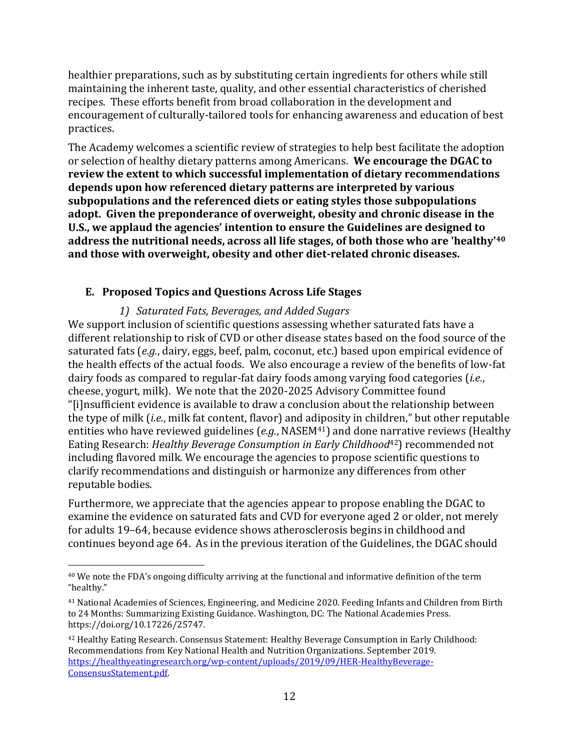healthier preparations, such as by substituting certain ingredients for others while still maintaining the inherent taste, quality, and other essential characteristics of cherished recipes. These efforts benefit from broad collaboration in the development and encouragement of culturally-tailored tools for enhancing awareness and education of best practices.

The Academy welcomes a scientific review of strategies to help best facilitate the adoption or selection of healthy dietary patterns among Americans. **We encourage the DGAC to review the extent to which successful implementation of dietary recommendations depends upon how referenced dietary patterns are interpreted by various subpopulations and the referenced diets or eating styles those subpopulations adopt. Given the preponderance of overweight, obesity and chronic disease in the U.S., we applaud the agencies' intention to ensure the Guidelines are designed to address the nutritional needs, across all life stages, of both those who are 'healthy'<sup>40</sup> and those with overweight, obesity and other diet-related chronic diseases.**

#### **E. Proposed Topics and Questions Across Life Stages**

*1) Saturated Fats, Beverages, and Added Sugars*

We support inclusion of scientific questions assessing whether saturated fats have a different relationship to risk of CVD or other disease states based on the food source of the saturated fats (*e.g.*, dairy, eggs, beef, palm, coconut, etc.) based upon empirical evidence of the health effects of the actual foods. We also encourage a review of the benefits of low-fat dairy foods as compared to regular-fat dairy foods among varying food categories (*i.e.*, cheese, yogurt, milk). We note that the 2020-2025 Advisory Committee found "[i]nsufficient evidence is available to draw a conclusion about the relationship between the type of milk (*i.e.*, milk fat content, flavor) and adiposity in children," but other reputable entities who have reviewed guidelines (e.g., NASEM<sup>41</sup>) and done narrative reviews (Healthy Eating Research: *Healthy Beverage Consumption in Early Childhood*42) recommended not including flavored milk. We encourage the agencies to propose scientific questions to clarify recommendations and distinguish or harmonize any differences from other reputable bodies.

Furthermore, we appreciate that the agencies appear to propose enabling the DGAC to examine the evidence on saturated fats and CVD for everyone aged 2 or older, not merely for adults 19–64, because evidence shows atherosclerosis begins in childhood and continues beyond age 64. As in the previous iteration of the Guidelines, the DGAC should

<sup>40</sup> We note the FDA's ongoing difficulty arriving at the functional and informative definition of the term "healthy."

<sup>41</sup> National Academies of Sciences, Engineering, and Medicine 2020. Feeding Infants and Children from Birth to 24 Months: Summarizing Existing Guidance. Washington, DC: The National Academies Press. https://doi.org/10.17226/25747.

<sup>42</sup> Healthy Eating Research. Consensus Statement: Healthy Beverage Consumption in Early Childhood: Recommendations from Key National Health and Nutrition Organizations. September 2019. [https://healthyeatingresearch.org/wp-content/uploads/2019/09/HER-HealthyBeverage-](https://healthyeatingresearch.org/wp-content/uploads/2019/09/HER-HealthyBeverage-ConsensusStatement.pdf)[ConsensusStatement.pdf.](https://healthyeatingresearch.org/wp-content/uploads/2019/09/HER-HealthyBeverage-ConsensusStatement.pdf)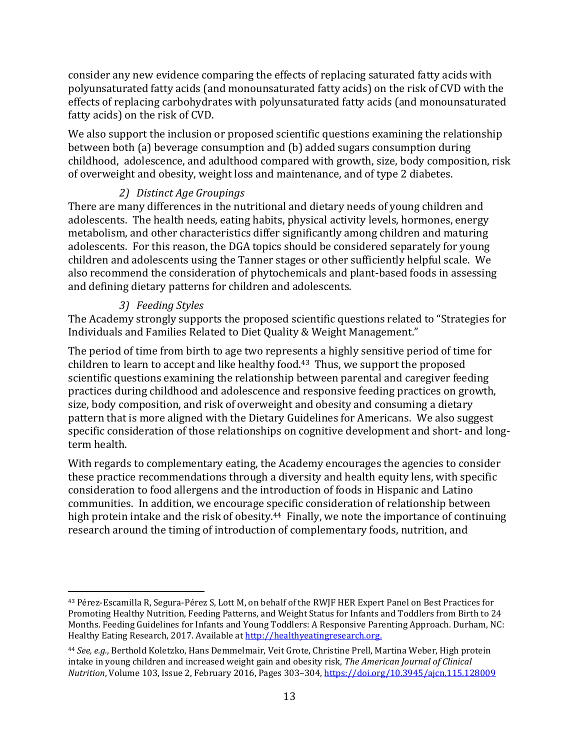consider any new evidence comparing the effects of replacing saturated fatty acids with polyunsaturated fatty acids (and monounsaturated fatty acids) on the risk of CVD with the effects of replacing carbohydrates with polyunsaturated fatty acids (and monounsaturated fatty acids) on the risk of CVD.

We also support the inclusion or proposed scientific questions examining the relationship between both (a) beverage consumption and (b) added sugars consumption during childhood, adolescence, and adulthood compared with growth, size, body composition, risk of overweight and obesity, weight loss and maintenance, and of type 2 diabetes.

# *2) Distinct Age Groupings*

There are many differences in the nutritional and dietary needs of young children and adolescents. The health needs, eating habits, physical activity levels, hormones, energy metabolism, and other characteristics differ significantly among children and maturing adolescents. For this reason, the DGA topics should be considered separately for young children and adolescents using the Tanner stages or other sufficiently helpful scale. We also recommend the consideration of phytochemicals and plant-based foods in assessing and defining dietary patterns for children and adolescents.

# *3) Feeding Styles*

The Academy strongly supports the proposed scientific questions related to "Strategies for Individuals and Families Related to Diet Quality & Weight Management."

The period of time from birth to age two represents a highly sensitive period of time for children to learn to accept and like healthy food.<sup>43</sup> Thus, we support the proposed scientific questions examining the relationship between parental and caregiver feeding practices during childhood and adolescence and responsive feeding practices on growth, size, body composition, and risk of overweight and obesity and consuming a dietary pattern that is more aligned with the Dietary Guidelines for Americans. We also suggest specific consideration of those relationships on cognitive development and short- and longterm health.

With regards to complementary eating, the Academy encourages the agencies to consider these practice recommendations through a diversity and health equity lens, with specific consideration to food allergens and the introduction of foods in Hispanic and Latino communities. In addition, we encourage specific consideration of relationship between high protein intake and the risk of obesity.<sup>44</sup> Finally, we note the importance of continuing research around the timing of introduction of complementary foods, nutrition, and

<sup>43</sup> Pérez-Escamilla R, Segura-Pérez S, Lott M, on behalf of the RWJF HER Expert Panel on Best Practices for Promoting Healthy Nutrition, Feeding Patterns, and Weight Status for Infants and Toddlers from Birth to 24 Months. Feeding Guidelines for Infants and Young Toddlers: A Responsive Parenting Approach. Durham, NC: Healthy Eating Research, 2017. Available at http://healthyeatingresearch.org.

<sup>44</sup> *See, e.g.*, Berthold Koletzko, Hans Demmelmair, Veit Grote, Christine Prell, Martina Weber, High protein intake in young children and increased weight gain and obesity risk, *The American Journal of Clinical Nutrition*, Volume 103, Issue 2, February 2016, Pages 303–304, <https://doi.org/10.3945/ajcn.115.128009>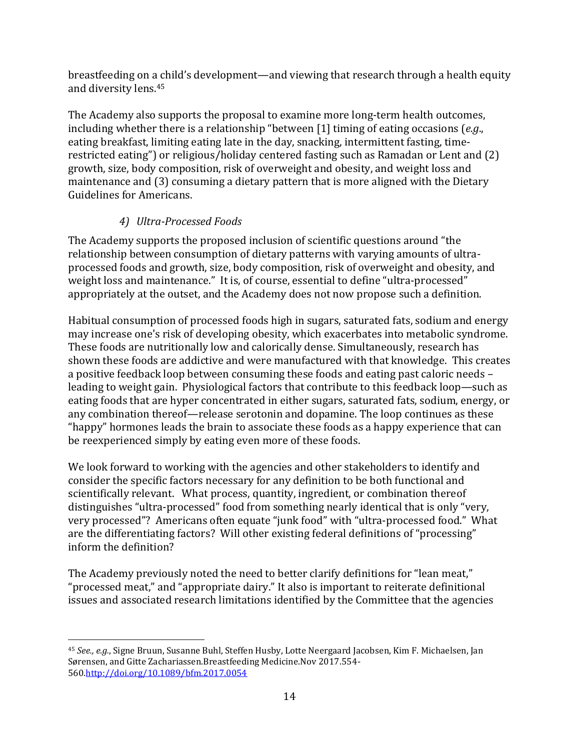breastfeeding on a child's development—and viewing that research through a health equity and diversity lens.<sup>45</sup>

The Academy also supports the proposal to examine more long-term health outcomes, including whether there is a relationship "between [1] timing of eating occasions (*e.g*., eating breakfast, limiting eating late in the day, snacking, intermittent fasting, timerestricted eating") or religious/holiday centered fasting such as Ramadan or Lent and (2) growth, size, body composition, risk of overweight and obesity, and weight loss and maintenance and (3) consuming a dietary pattern that is more aligned with the Dietary Guidelines for Americans.

# *4) Ultra-Processed Foods*

The Academy supports the proposed inclusion of scientific questions around "the relationship between consumption of dietary patterns with varying amounts of ultraprocessed foods and growth, size, body composition, risk of overweight and obesity, and weight loss and maintenance." It is, of course, essential to define "ultra-processed" appropriately at the outset, and the Academy does not now propose such a definition.

Habitual consumption of processed foods high in sugars, saturated fats, sodium and energy may increase one's risk of developing obesity, which exacerbates into metabolic syndrome. These foods are nutritionally low and calorically dense. Simultaneously, research has shown these foods are addictive and were manufactured with that knowledge. This creates a positive feedback loop between consuming these foods and eating past caloric needs – leading to weight gain. Physiological factors that contribute to this feedback loop—such as eating foods that are hyper concentrated in either sugars, saturated fats, sodium, energy, or any combination thereof—release serotonin and dopamine. The loop continues as these "happy" hormones leads the brain to associate these foods as a happy experience that can be reexperienced simply by eating even more of these foods.

We look forward to working with the agencies and other stakeholders to identify and consider the specific factors necessary for any definition to be both functional and scientifically relevant. What process, quantity, ingredient, or combination thereof distinguishes "ultra-processed" food from something nearly identical that is only "very, very processed"? Americans often equate "junk food" with "ultra-processed food." What are the differentiating factors? Will other existing federal definitions of "processing" inform the definition?

The Academy previously noted the need to better clarify definitions for "lean meat," "processed meat," and "appropriate dairy." It also is important to reiterate definitional issues and associated research limitations identified by the Committee that the agencies

<sup>45</sup> *See., e.g.*, Signe Bruun, Susanne Buhl, Steffen Husby, Lotte Neergaard Jacobsen, Kim F. Michaelsen, Jan Sørensen, and Gitte Zachariassen.Breastfeeding Medicine.Nov 2017.554- 56[0.http://doi.org/10.1089/bfm.2017.0054](https://doi.org/10.1089/bfm.2017.0054)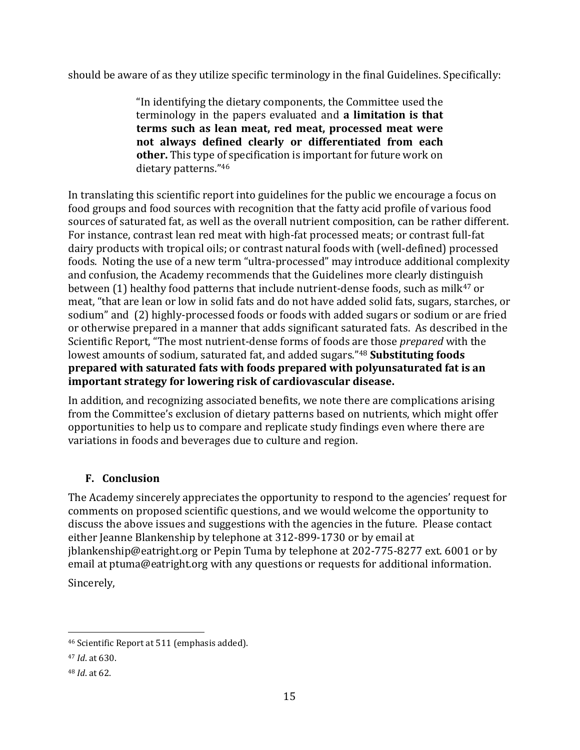should be aware of as they utilize specific terminology in the final Guidelines. Specifically:

"In identifying the dietary components, the Committee used the terminology in the papers evaluated and **a limitation is that terms such as lean meat, red meat, processed meat were not always defined clearly or differentiated from each other.** This type of specification is important for future work on dietary patterns."<sup>46</sup>

In translating this scientific report into guidelines for the public we encourage a focus on food groups and food sources with recognition that the fatty acid profile of various food sources of saturated fat, as well as the overall nutrient composition, can be rather different. For instance, contrast lean red meat with high-fat processed meats; or contrast full-fat dairy products with tropical oils; or contrast natural foods with (well-defined) processed foods. Noting the use of a new term "ultra-processed" may introduce additional complexity and confusion, the Academy recommends that the Guidelines more clearly distinguish between (1) healthy food patterns that include nutrient-dense foods, such as milk<sup>47</sup> or meat, "that are lean or low in solid fats and do not have added solid fats, sugars, starches, or sodium" and (2) highly-processed foods or foods with added sugars or sodium or are fried or otherwise prepared in a manner that adds significant saturated fats. As described in the Scientific Report, "The most nutrient-dense forms of foods are those *prepared* with the lowest amounts of sodium, saturated fat, and added sugars."<sup>48</sup> **Substituting foods prepared with saturated fats with foods prepared with polyunsaturated fat is an important strategy for lowering risk of cardiovascular disease.** 

In addition, and recognizing associated benefits, we note there are complications arising from the Committee's exclusion of dietary patterns based on nutrients, which might offer opportunities to help us to compare and replicate study findings even where there are variations in foods and beverages due to culture and region.

### **F. Conclusion**

The Academy sincerely appreciates the opportunity to respond to the agencies' request for comments on proposed scientific questions, and we would welcome the opportunity to discuss the above issues and suggestions with the agencies in the future. Please contact either Jeanne Blankenship by telephone at 312-899-1730 or by email at jblankenship@eatright.org or Pepin Tuma by telephone at 202-775-8277 ext. 6001 or by email at ptuma@eatright.org with any questions or requests for additional information. Sincerely,

<sup>46</sup> Scientific Report at 511 (emphasis added).

<sup>47</sup> *Id*. at 630.

<sup>48</sup> *Id*. at 62.